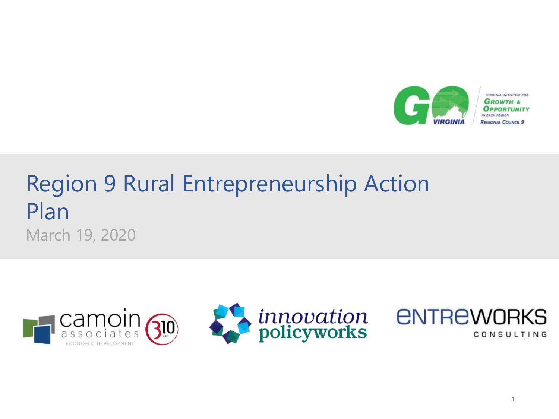

### Region 9 Rural Entrepreneurship Action Plan March 19, 2020

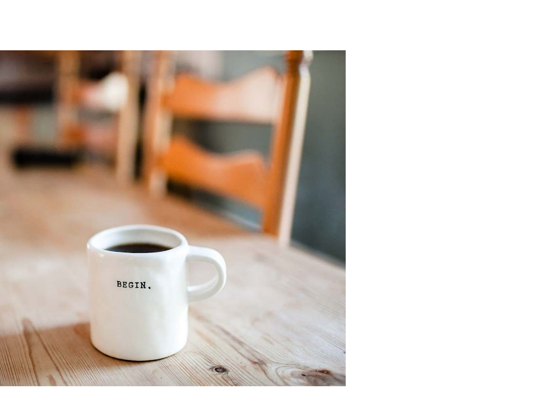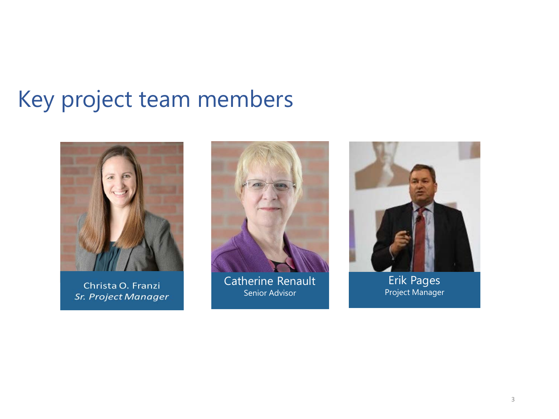### Key project team members



Christa O. Franzi Sr. Project Manager



Catherine Renault Senior Advisor



Erik Pages Project Manager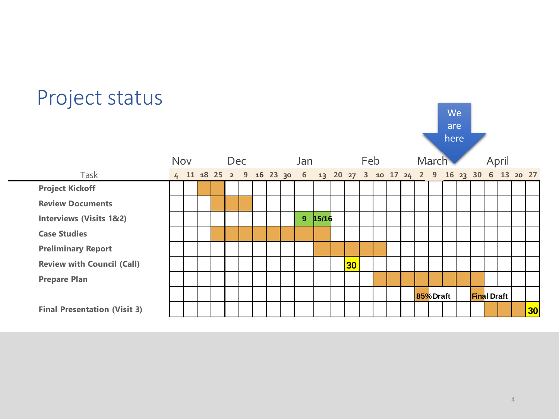

#### 4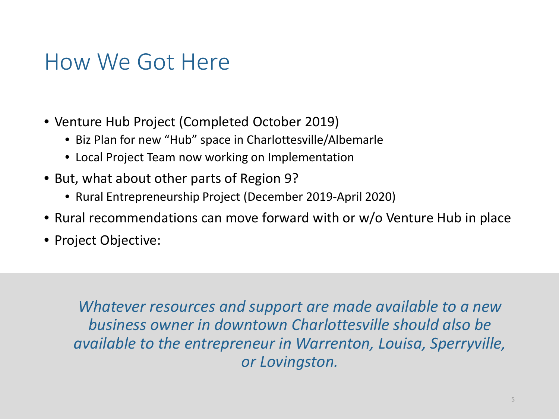### How We Got Here

- Venture Hub Project (Completed October 2019)
	- Biz Plan for new "Hub" space in Charlottesville/Albemarle
	- Local Project Team now working on Implementation
- But, what about other parts of Region 9?
	- Rural Entrepreneurship Project (December 2019-April 2020)
- Rural recommendations can move forward with or w/o Venture Hub in place
- Project Objective:

*Whatever resources and support are made available to a new business owner in downtown Charlottesville should also be available to the entrepreneur in Warrenton, Louisa, Sperryville, or Lovingston.*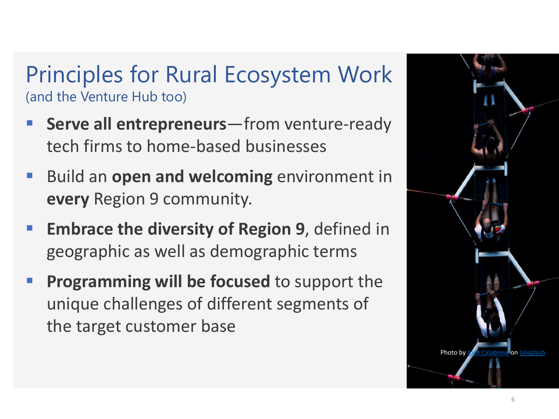### Principles for Rural Ecosystem Work (and the Venture Hub too)

- **Serve all entrepreneurs**—from venture-ready tech firms to home-based businesses
- Build an **open and welcoming** environment in **every** Region 9 community.
- **Embrace the diversity of Region 9**, defined in geographic as well as demographic terms
- **Programming will be focused** to support the unique challenges of different segments of the target customer base

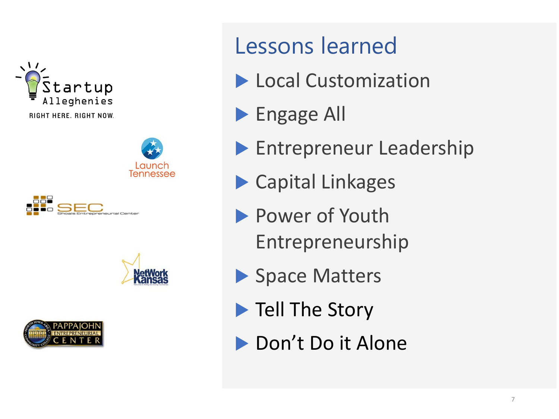

**RIGHT HERE. RIGHT NOW.** 









### Lessons learned

- **Local Customization**
- **Engage All**
- **Entrepreneur Leadership**
- ▶ Capital Linkages
- ▶ Power of Youth Entrepreneurship
- ▶ Space Matters
- **Tell The Story**
- ▶ Don't Do it Alone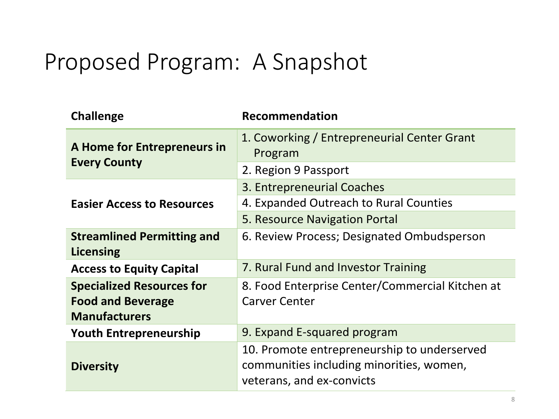### Proposed Program: A Snapshot

| <b>Challenge</b>                                                                     | <b>Recommendation</b>                                                                                                |
|--------------------------------------------------------------------------------------|----------------------------------------------------------------------------------------------------------------------|
| A Home for Entrepreneurs in<br><b>Every County</b>                                   | 1. Coworking / Entrepreneurial Center Grant<br>Program                                                               |
|                                                                                      | 2. Region 9 Passport                                                                                                 |
| <b>Easier Access to Resources</b>                                                    | 3. Entrepreneurial Coaches                                                                                           |
|                                                                                      | 4. Expanded Outreach to Rural Counties                                                                               |
|                                                                                      | 5. Resource Navigation Portal                                                                                        |
| <b>Streamlined Permitting and</b><br><b>Licensing</b>                                | 6. Review Process; Designated Ombudsperson                                                                           |
| <b>Access to Equity Capital</b>                                                      | 7. Rural Fund and Investor Training                                                                                  |
| <b>Specialized Resources for</b><br><b>Food and Beverage</b><br><b>Manufacturers</b> | 8. Food Enterprise Center/Commercial Kitchen at<br><b>Carver Center</b>                                              |
| <b>Youth Entrepreneurship</b>                                                        | 9. Expand E-squared program                                                                                          |
| <b>Diversity</b>                                                                     | 10. Promote entrepreneurship to underserved<br>communities including minorities, women,<br>veterans, and ex-convicts |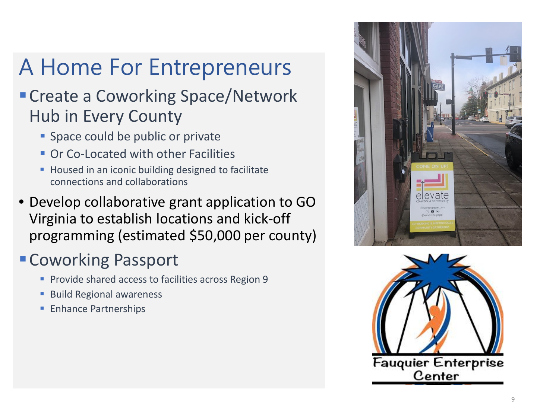### A Home For Entrepreneurs

#### Create a Coworking Space/Network Hub in Every County

- **Space could be public or private**
- **Or Co-Located with other Facilities**
- Housed in an iconic building designed to facilitate connections and collaborations
- Develop collaborative grant application to GO Virginia to establish locations and kick-off programming (estimated \$50,000 per county)

#### Coworking Passport

- **Provide shared access to facilities across Region 9**
- **Build Regional awareness**
- **Enhance Partnerships**



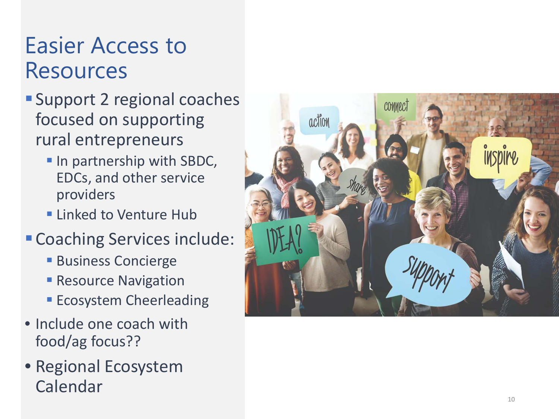### Easier Access to **Resources**

- **Support 2 regional coaches** focused on supporting rural entrepreneurs
	- In partnership with SBDC, EDCs, and other service providers
	- **Elinked to Venture Hub**

#### Coaching Services include:

- **Business Concierge**
- **Resource Navigation**
- **Ecosystem Cheerleading**
- Include one coach with food/ag focus??
- Regional Ecosystem Calendar

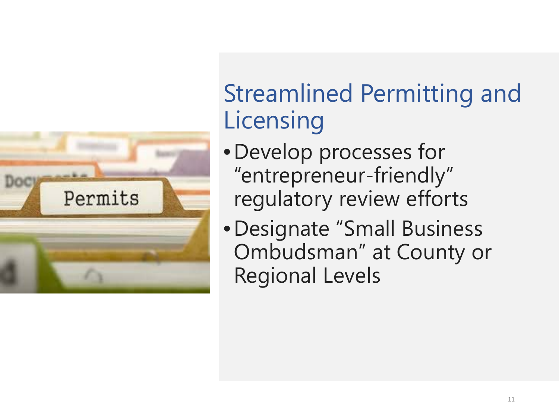

## Streamlined Permitting and **Licensing**

- •Develop processes for "entrepreneur-friendly" regulatory review efforts
- •Designate "Small Business Ombudsman" at County or Regional Levels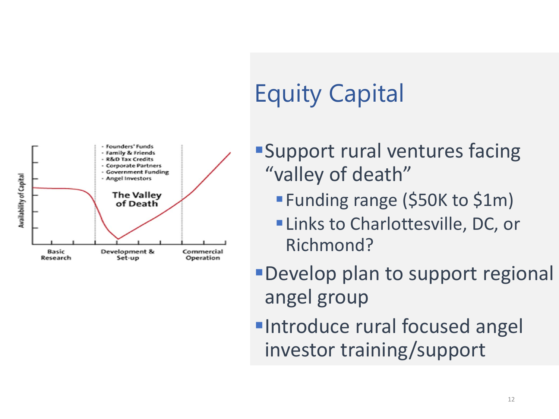

# Equity Capital

- Support rural ventures facing "valley of death"
	- **Funding range (\$50K to \$1m)**
	- **Links to Charlottesville, DC, or** Richmond?
- Develop plan to support regional angel group
- **Introduce rural focused angel** investor training/support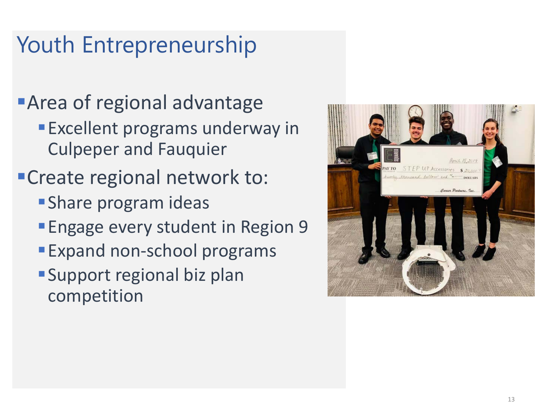### Youth Entrepreneurship

**Area of regional advantage** 

**Excellent programs underway in** Culpeper and Fauquier

### Create regional network to:

- **Share program ideas**
- **Engage every student in Region 9**
- Expand non-school programs
- Support regional biz plan competition

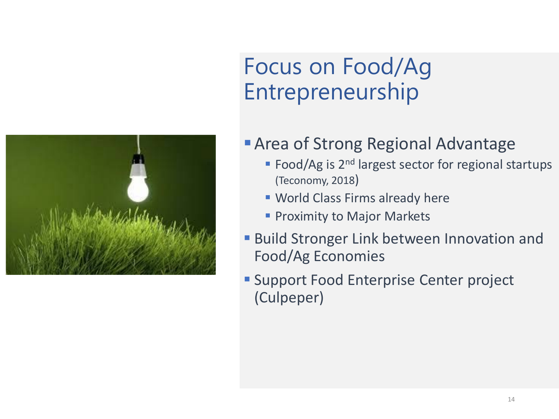

### Focus on Food/Ag Entrepreneurship

#### **Area of Strong Regional Advantage**

- **Food/Ag is 2<sup>nd</sup> largest sector for regional startups** (Teconomy, 2018)
- **World Class Firms already here**
- **Proximity to Major Markets**
- **Build Stronger Link between Innovation and** Food/Ag Economies
- **Support Food Enterprise Center project** (Culpeper)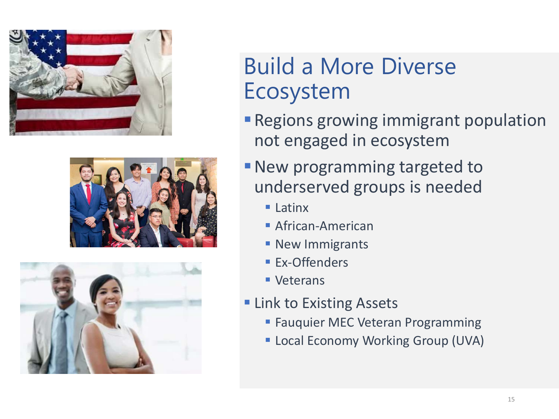





### Build a More Diverse Ecosystem

- **Regions growing immigrant population** not engaged in ecosystem
- New programming targeted to underserved groups is needed
	- **Latinx**
	- African-American
	- **New Immigrants**
	- **Ex-Offenders**
	- Veterans
- **Existing Assets** 
	- **Fauquier MEC Veteran Programming**
	- **Local Economy Working Group (UVA)**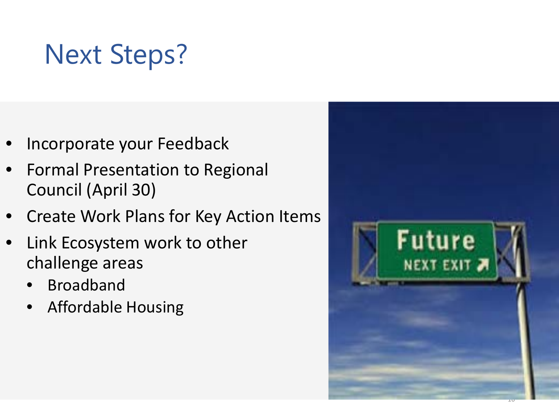# Next Steps?

- Incorporate your Feedback
- Formal Presentation to Regional Council (April 30)
- Create Work Plans for Key Action Items
- Link Ecosystem work to other challenge areas
	- **Broadband**
	- Affordable Housing